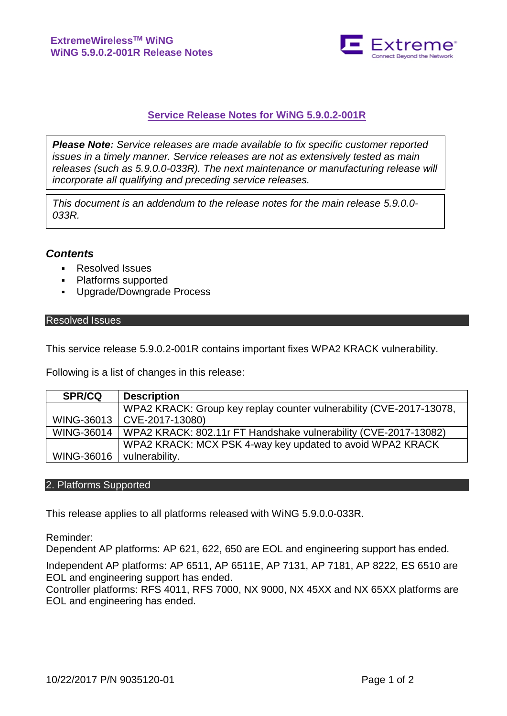

# **Service Release Notes for WiNG 5.9.0.2-001R**

*Please Note: Service releases are made available to fix specific customer reported issues in a timely manner. Service releases are not as extensively tested as main releases (such as 5.9.0.0-033R). The next maintenance or manufacturing release will incorporate all qualifying and preceding service releases.*

*This document is an addendum to the release notes for the main release 5.9.0.0- 033R.*

# *Contents*

- **Resolved Issues**
- Platforms supported
- Upgrade/Downgrade Process

## Resolved Issues

This service release 5.9.0.2-001R contains important fixes WPA2 KRACK vulnerability.

Following is a list of changes in this release:

| <b>SPR/CQ</b> | <b>Description</b>                                                  |
|---------------|---------------------------------------------------------------------|
|               | WPA2 KRACK: Group key replay counter vulnerability (CVE-2017-13078, |
| WING-36013    | CVE-2017-13080)                                                     |
| WING-36014    | WPA2 KRACK: 802.11r FT Handshake vulnerability (CVE-2017-13082)     |
|               | WPA2 KRACK: MCX PSK 4-way key updated to avoid WPA2 KRACK           |
| WING-36016    | vulnerability.                                                      |

#### 2. Platforms Supported

This release applies to all platforms released with WiNG 5.9.0.0-033R.

Reminder:

Dependent AP platforms: AP 621, 622, 650 are EOL and engineering support has ended.

Independent AP platforms: AP 6511, AP 6511E, AP 7131, AP 7181, AP 8222, ES 6510 are EOL and engineering support has ended.

Controller platforms: RFS 4011, RFS 7000, NX 9000, NX 45XX and NX 65XX platforms are EOL and engineering has ended.